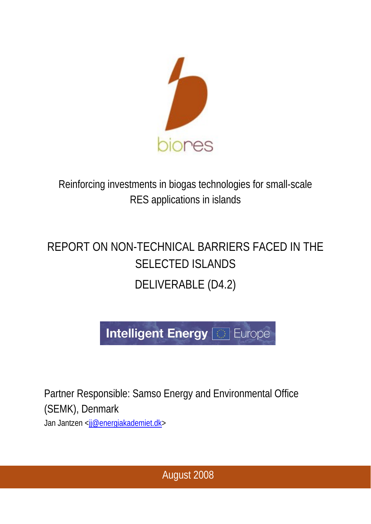

Reinforcing investments in biogas technologies for small-scale RES applications in islands

# REPORT ON NON-TECHNICAL BARRIERS FACED IN THE SELECTED ISLANDS DELIVERABLE (D4.2)



Partner Responsible: Samso Energy and Environmental Office (SEMK), Denmark Jan Jantzen <jj@energiakademiet.dk>

August 2008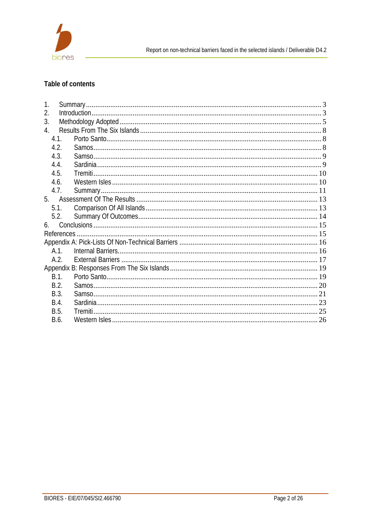

# Table of contents

| 1.   |  |  |  |  |
|------|--|--|--|--|
| 2.   |  |  |  |  |
| 3.   |  |  |  |  |
| 4.   |  |  |  |  |
| 4.1. |  |  |  |  |
| 4.2. |  |  |  |  |
| 4.3. |  |  |  |  |
| 4.4. |  |  |  |  |
| 4.5. |  |  |  |  |
| 4.6. |  |  |  |  |
| 4.7. |  |  |  |  |
|      |  |  |  |  |
| 5.1. |  |  |  |  |
| 5.2. |  |  |  |  |
| 6.   |  |  |  |  |
|      |  |  |  |  |
|      |  |  |  |  |
| A.1. |  |  |  |  |
| A.2. |  |  |  |  |
|      |  |  |  |  |
| B.1. |  |  |  |  |
| B.2. |  |  |  |  |
| B.3. |  |  |  |  |
| B.4. |  |  |  |  |
| B.5. |  |  |  |  |
| B.6. |  |  |  |  |
|      |  |  |  |  |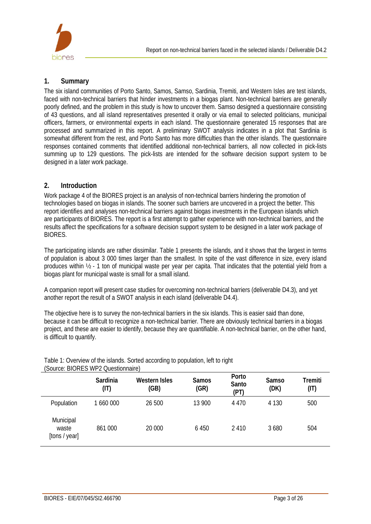

## **1. Summary**

The six island communities of Porto Santo, Samos, Samso, Sardinia, Tremiti, and Western Isles are test islands, faced with non-technical barriers that hinder investments in a biogas plant. Non-technical barriers are generally poorly defined, and the problem in this study is how to uncover them. Samso designed a questionnaire consisting of 43 questions, and all island representatives presented it orally or via email to selected politicians, municipal officers, farmers, or environmental experts in each island. The questionnaire generated 15 responses that are processed and summarized in this report. A preliminary SWOT analysis indicates in a plot that Sardinia is somewhat different from the rest, and Porto Santo has more difficulties than the other islands. The questionnaire responses contained comments that identified additional non-technical barriers, all now collected in pick-lists summing up to 129 questions. The pick-lists are intended for the software decision support system to be designed in a later work package.

## **2. Introduction**

Work package 4 of the BIORES project is an analysis of non-technical barriers hindering the promotion of technologies based on biogas in islands. The sooner such barriers are uncovered in a project the better. This report identifies and analyses non-technical barriers against biogas investments in the European islands which are participants of BIORES. The report is a first attempt to gather experience with non-technical barriers, and the results affect the specifications for a software decision support system to be designed in a later work package of BIORES.

The participating islands are rather dissimilar. Table 1 presents the islands, and it shows that the largest in terms of population is about 3 000 times larger than the smallest. In spite of the vast difference in size, every island produces within ½ - 1 ton of municipal waste per year per capita. That indicates that the potential yield from a biogas plant for municipal waste is small for a small island.

A companion report will present case studies for overcoming non-technical barriers (deliverable D4.3), and yet another report the result of a SWOT analysis in each island (deliverable D4.4).

The objective here is to survey the non-technical barriers in the six islands. This is easier said than done, because it can be difficult to recognize a non-technical barrier. There are obviously technical barriers in a biogas project, and these are easier to identify, because they are quantifiable. A non-technical barrier, on the other hand, is difficult to quantify.

| JOULUE. DIUNES VVEZ QUESIIUI II IGII EJ |                  |                       |                      |                        |                      |                 |
|-----------------------------------------|------------------|-----------------------|----------------------|------------------------|----------------------|-----------------|
|                                         | Sardinia<br>(IT) | Western Isles<br>(GB) | <b>Samos</b><br>(GR) | Porto<br>Santo<br>(PT) | <b>Samso</b><br>(DK) | Tremiti<br>(IT) |
| Population                              | 1 660 000        | 26 500                | 13 900               | 4 4 7 0                | 4 1 3 0              | 500             |
| Municipal<br>waste<br>[tons / year]     | 861 000          | 20 000                | 6 4 5 0              | 2410                   | 3 6 8 0              | 504             |

Table 1: Overview of the islands. Sorted according to population, left to right (Source: BIORES WP2 Questionnaire)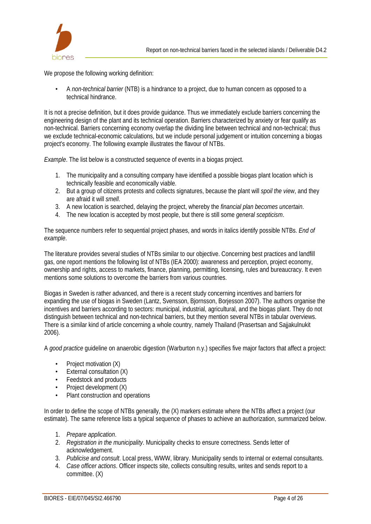

We propose the following working definition:

• A *non-technical barrier* (NTB) is a hindrance to a project, due to human concern as opposed to a technical hindrance.

It is not a precise definition, but it does provide guidance. Thus we immediately exclude barriers concerning the engineering design of the plant and its technical operation. Barriers characterized by anxiety or fear qualify as non-technical. Barriers concerning economy overlap the dividing line between technical and non-technical; thus we exclude technical-economic calculations, but we include personal judgement or intuition concerning a biogas project's economy. The following example illustrates the flavour of NTBs.

*Example*. The list below is a constructed sequence of events in a biogas project.

- 1. The municipality and a consulting company have identified a possible biogas plant location which is technically feasible and economically viable.
- 2. But a group of citizens protests and collects signatures, because the plant will *spoil the view*, and they are afraid it will *smell*.
- 3. A new location is searched, delaying the project, whereby the *financial plan becomes uncertain*.
- 4. The new location is accepted by most people, but there is still some *general scepticism*.

The sequence numbers refer to sequential project phases, and words in italics identify possible NTBs. *End of example*.

The literature provides several studies of NTBs similar to our objective. Concerning best practices and landfill gas, one report mentions the following list of NTBs (IEA 2000): awareness and perception, project economy, ownership and rights, access to markets, finance, planning, permitting, licensing, rules and bureaucracy. It even mentions some solutions to overcome the barriers from various countries.

Biogas in Sweden is rather advanced, and there is a recent study concerning incentives and barriers for expanding the use of biogas in Sweden (Lantz, Svensson, Bjornsson, Borjesson 2007). The authors organise the incentives and barriers according to sectors: municipal, industrial, agricultural, and the biogas plant. They do not distinguish between technical and non-technical barriers, but they mention several NTBs in tabular overviews. There is a similar kind of article concerning a whole country, namely Thailand (Prasertsan and Sajjakulnukit 2006).

A *good practice* guideline on anaerobic digestion (Warburton n.y.) specifies five major factors that affect a project:

- Project motivation (X)
- External consultation (X)
- Feedstock and products
- Project development (X)
- Plant construction and operations

In order to define the scope of NTBs generally, the (X) markers estimate where the NTBs affect a project (our estimate). The same reference lists a typical sequence of phases to achieve an authorization, summarized below.

- 1. *Prepare application*.
- 2. *Registration in the municipality*. Municipality checks to ensure correctness. Sends letter of acknowledgement.
- 3. *Publicise and consult*. Local press, WWW, library. Municipality sends to internal or external consultants.
- 4. *Case officer actions*. Officer inspects site, collects consulting results, writes and sends report to a committee. (X)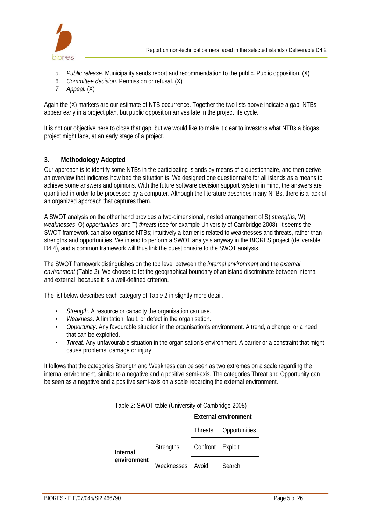

- 5. *Public release*. Municipality sends report and recommendation to the public. Public opposition. (X)
- 6. *Committee decision*. Permission or refusal. (X)
- *7. Appeal.* (X)

Again the (X) markers are our estimate of NTB occurrence. Together the two lists above indicate a gap: NTBs appear early in a project plan, but public opposition arrives late in the project life cycle.

It is not our objective here to close that gap, but we would like to make it clear to investors what NTBs a biogas project might face, at an early stage of a project.

#### **3. Methodology Adopted**

Our approach is to identify some NTBs in the participating islands by means of a questionnaire, and then derive an overview that indicates how bad the situation is. We designed one questionnaire for all islands as a means to achieve some answers and opinions. With the future software decision support system in mind, the answers are quantified in order to be processed by a computer. Although the literature describes many NTBs, there is a lack of an organized approach that captures them.

A SWOT analysis on the other hand provides a two-dimensional, nested arrangement of S) *strengths*, W) *weaknesses*, O) *opportunities*, and T) *threats* (see for example University of Cambridge 2008). It seems the SWOT framework can also organise NTBs; intuitively a barrier is related to weaknesses and threats, rather than strengths and opportunities. We intend to perform a SWOT analysis anyway in the BIORES project (deliverable D4.4), and a common framework will thus link the questionnaire to the SWOT analysis.

The SWOT framework distinguishes on the top level between the *internal environment* and the *external environment* (Table 2). We choose to let the geographical boundary of an island discriminate between internal and external, because it is a well-defined criterion.

The list below describes each category of Table 2 in slightly more detail.

- *Strength*. A resource or capacity the organisation can use.
- *Weakness*. A limitation, fault, or defect in the organisation.
- *Opportunity*. Any favourable situation in the organisation's environment. A trend, a change, or a need that can be exploited.
- *Threat*. Any unfavourable situation in the organisation's environment. A barrier or a constraint that might cause problems, damage or injury.

It follows that the categories Strength and Weakness can be seen as two extremes on a scale regarding the internal environment, similar to a negative and a positive semi-axis. The categories Threat and Opportunity can be seen as a negative and a positive semi-axis on a scale regarding the external environment.

Table 2: SWOT table (University of Cambridge 2008)

|                 |                  | <b>External environment</b> |               |  |
|-----------------|------------------|-----------------------------|---------------|--|
|                 |                  | Threats                     | Opportunities |  |
| <b>Internal</b> | <b>Strengths</b> | Confront                    | Exploit       |  |
| environment     | Weaknesses       | Avoid                       | Search        |  |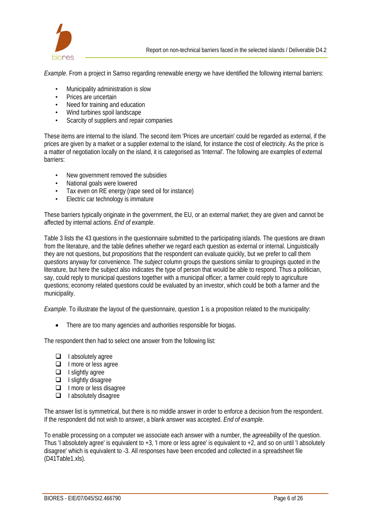

*Example*. From a project in Samso regarding renewable energy we have identified the following internal barriers:

- Municipality administration is slow
- Prices are uncertain
- Need for training and education
- Wind turbines spoil landscape
- Scarcity of suppliers and repair companies

These items are internal to the island. The second item 'Prices are uncertain' could be regarded as external, if the prices are given by a market or a supplier external to the island, for instance the cost of electricity. As the price is a matter of negotiation locally on the island, it is categorised as 'Internal'. The following are examples of external barriers:

- New government removed the subsidies
- National goals were lowered
- Tax even on RE energy (rape seed oil for instance)
- Electric car technology is immature

These barriers typically originate in the government, the EU, or an external market; they are given and cannot be affected by internal actions. *End of example*.

Table 3 lists the 43 questions in the questionnaire submitted to the participating islands. The questions are drawn from the literature, and the table defines whether we regard each question as external or internal. Linguistically they are not questions, but *propositions* that the respondent can evaluate quickly, but we prefer to call them *questions* anyway for convenience. The *subject* column groups the questions similar to groupings quoted in the literature, but here the subject also indicates the type of person that would be able to respond. Thus a politician, say, could reply to municipal questions together with a municipal officer; a farmer could reply to agriculture questions; economy related questions could be evaluated by an investor, which could be both a farmer and the municipality.

*Example*. To illustrate the layout of the questionnaire, question 1 is a proposition related to the municipality:

• There are too many agencies and authorities responsible for biogas.

The respondent then had to select one answer from the following list:

- $\Box$  I absolutely agree
- $\Box$  I more or less agree
- $\Box$  I slightly agree
- $\Box$  I slightly disagree
- $\Box$  I more or less disagree
- $\Box$  I absolutely disagree

The answer list is symmetrical, but there is no middle answer in order to enforce a decision from the respondent. If the respondent did not wish to answer, a blank answer was accepted. *End of example*.

To enable processing on a computer we associate each answer with a number, the *agreeability* of the question. Thus 'I absolutely agree' is equivalent to  $+3$ , 'I more or less agree' is equivalent to  $+2$ , and so on until 'I absolutely disagree' which is equivalent to -3. All responses have been encoded and collected in a spreadsheet file (D41Table1.xls).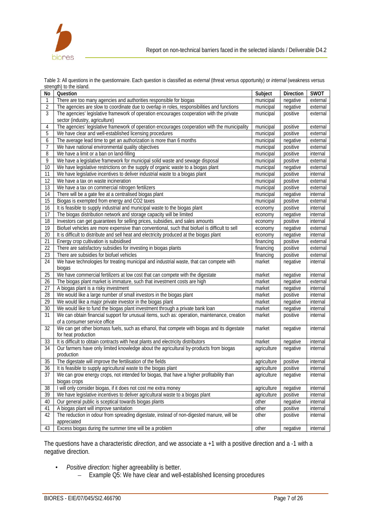

| No              | Question                                                                                      | Subject     | <b>Direction</b> | <b>SWOT</b> |
|-----------------|-----------------------------------------------------------------------------------------------|-------------|------------------|-------------|
| 1               | There are too many agencies and authorities responsible for biogas                            | municipal   | negative         | external    |
| 2               | The agencies are slow to coordinate due to overlap in roles, responsibilities and functions   | municipal   | negative         | external    |
| 3               | The agencies' legislative framework of operation encourages cooperation with the private      | municipal   | positive         | external    |
|                 | sector (industry, agriculture)                                                                |             |                  |             |
| 4               | The agencies' legislative framework of operation encourages cooperation with the municipality | municipal   | positive         | external    |
| 5               | We have clear and well-established licensing procedures                                       | municipal   | positive         | external    |
| 6               | The average lead time to get an authorization is more than 6 months                           | municipal   | negative         | external    |
| 7               | We have national environmental quality objectives                                             | municipal   | positive         | external    |
| 8               | We have a limit or a ban on land-filling                                                      | municipal   | positive         | internal    |
| 9               | We have a legislative framework for municipal solid waste and sewage disposal                 | municipal   | positive         | external    |
| 10              | We have legislative restrictions on the supply of organic waste to a biogas plant             | municipal   | negative         | external    |
| 11              | We have legislative incentives to deliver industrial waste to a biogas plant                  | municipal   | positive         | internal    |
| 12              | We have a tax on waste incineration                                                           | municipal   | positive         | external    |
| 13              | We have a tax on commercial nitrogen fertilizers                                              | municipal   | positive         | external    |
| 14              | There will be a gate fee at a centralised biogas plant                                        | municipal   | negative         | internal    |
| 15              | Biogas is exempted from energy and CO2 taxes                                                  | municipal   | positive         | external    |
| 16              | It is feasible to supply industrial and municipal waste to the biogas plant                   | economy     | positive         | internal    |
| 17              | The biogas distribution network and storage capacity will be limited                          | economy     | negative         | internal    |
| $\overline{18}$ | Investors can get guarantees for selling prices, subsidies, and sales amounts                 | economy     | positive         | internal    |
| $\overline{19}$ | Biofuel vehicles are more expensive than conventional, such that biofuel is difficult to sell | economy     | negative         | external    |
| 20              | It is difficult to distribute and sell heat and electricity produced at the biogas plant      | economy     | negative         | internal    |
| 21              | Energy crop cultivation is subsidised                                                         | financing   | positive         | external    |
| 22              | There are satisfactory subsidies for investing in biogas plants                               | financing   | positive         | external    |
| 23              | There are subsidies for biofuel vehicles                                                      | financing   | positive         | external    |
| 24              | We have technologies for treating municipal and industrial waste, that can compete with       | market      | negative         | internal    |
|                 | biogas                                                                                        |             |                  |             |
| 25              | We have commercial fertilizers at low cost that can compete with the digestate                | market      | negative         | internal    |
| 26              | The biogas plant market is immature, such that investment costs are high                      | market      | negative         | external    |
| 27              | A biogas plant is a risky investment                                                          | market      | negative         | internal    |
| 28              | We would like a large number of small investors in the biogas plant                           | market      | positive         | internal    |
| 29              | We would like a major private investor in the biogas plant                                    | market      | negative         | internal    |
| 30              | We would like to fund the biogas plant investment through a private bank loan                 | market      | negative         | internal    |
| 31              | We can obtain financial support for unusual items, such as: operation, maintenance, creation  | market      | positive         | internal    |
|                 | of a consumer service office                                                                  |             |                  |             |
| 32              | We can get other biomass fuels, such as ethanol, that compete with biogas and its digestate   | market      | negative         | internal    |
|                 | for heat production                                                                           |             |                  |             |
| 33              | It is difficult to obtain contracts with heat plants and electricity distributors             | market      | negative         | internal    |
| 34              | Our farmers have only limited knowledge about the agricultural by-products from biogas        | agriculture | negative         | internal    |
|                 | production                                                                                    |             |                  |             |
| 35              | The digestate will improve the fertilisation of the fields                                    | agriculture | positive         | internal    |
| 36              | It is feasible to supply agricultural waste to the biogas plant                               | agriculture | positive         | internal    |
| 37              | We can grow energy crops, not intended for biogas, that have a higher profitability than      | agriculture | negative         | internal    |
|                 | biogas crops                                                                                  |             |                  |             |
| 38              | I will only consider biogas, if it does not cost me extra money                               | agriculture | negative         | internal    |
| 39              | We have legislative incentives to deliver agricultural waste to a biogas plant                | agriculture | positive         | internal    |
| 40              | Our general public is sceptical towards biogas plants                                         | other       | negative         | internal    |
| 41              | A biogas plant will improve sanitation                                                        | other       | positive         | internal    |
| 42              | The reduction in odour from spreading digestate, instead of non-digested manure, will be      | other       | positive         | internal    |
|                 | appreciated                                                                                   |             |                  |             |
| 43              | Excess biogas during the summer time will be a problem                                        | other       | negative         | internal    |

Table 3: All questions in the questionnaire. Each question is classified as *external* (threat versus opportunity) or *internal* (weakness versus strength) to the island.

The questions have a characteristic *direction*, and we associate a +1 with a positive direction and a -1 with a negative direction.

- *Positive direction:* higher agreeability is better.
	- Example Q5: We have clear and well-established licensing procedures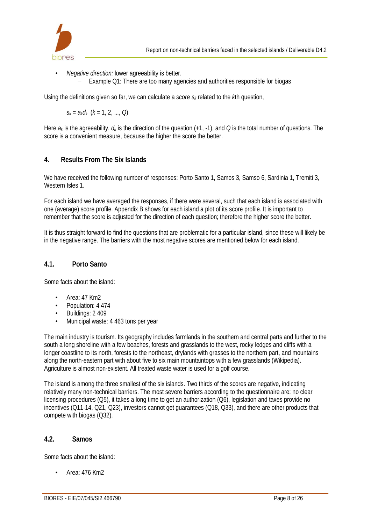

- *Negative direction:* lower agreeability is better.
	- Example Q1: There are too many agencies and authorities responsible for biogas

Using the definitions given so far, we can calculate a *score sk* related to the *k*th question,

 $S_k = a_k d_k$  ( $k = 1, 2, ..., Q$ )

Here *ak* is the agreeability, *dk* is the direction of the question (+1, -1), and *Q* is the total number of questions. The score is a convenient measure, because the higher the score the better.

#### **4. Results From The Six Islands**

We have received the following number of responses: Porto Santo 1, Samos 3, Samso 6, Sardinia 1, Tremiti 3, Western Isles 1.

For each island we have averaged the responses, if there were several, such that each island is associated with one (average) score profile. Appendix B shows for each island a plot of its score profile. It is important to remember that the score is adjusted for the direction of each question; therefore the higher score the better.

It is thus straight forward to find the questions that are problematic for a particular island, since these will likely be in the negative range. The barriers with the most negative scores are mentioned below for each island.

#### **4.1. Porto Santo**

Some facts about the island:

- Area: 47 Km2
- Population: 4 474
- Buildings: 2 409
- Municipal waste: 4 463 tons per year

The main industry is tourism. Its geography includes farmlands in the southern and central parts and further to the south a long shoreline with a few beaches, forests and grasslands to the west, rocky ledges and cliffs with a longer coastline to its north, forests to the northeast, drylands with grasses to the northern part, and mountains along the north-eastern part with about five to six main mountaintops with a few grasslands (Wikipedia). Agriculture is almost non-existent. All treated waste water is used for a golf course.

The island is among the three smallest of the six islands. Two thirds of the scores are negative, indicating relatively many non-technical barriers. The most severe barriers according to the questionnaire are: no clear licensing procedures (Q5), it takes a long time to get an authorization (Q6), legislation and taxes provide no incentives (Q11-14, Q21, Q23), investors cannot get guarantees (Q18, Q33), and there are other products that compete with biogas (Q32).

#### **4.2. Samos**

Some facts about the island:

• Area: 476 Km2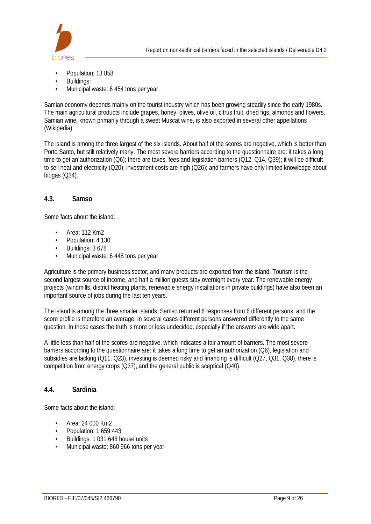

- Population: 13 858
- Buildings:
- Municipal waste: 6 454 tons per year

Samian economy depends mainly on the tourist industry which has been growing steadily since the early 1980s. The main agricultural products include grapes, honey, olives, olive oil, citrus fruit, dried figs, almonds and flowers. Samian wine, known primarily through a sweet Muscat wine, is also exported in several other appellations (Wikipedia).

The island is among the three largest of the six islands. About half of the scores are negative, which is better than Porto Santo, but still relatively many. The most severe barriers according to the questionnaire are: it takes a long time to get an authorization (Q6); there are taxes, fees and legislation barriers (Q12, Q14, Q39); it will be difficult to sell heat and electricity (Q20); investment costs are high (Q26); and farmers have only limited knowledge about biogas (Q34).

#### **4.3. Samso**

Some facts about the island:

- Area: 112 Km2
- Population: 4 130
- Buildings: 3 678
- Municipal waste: 6 448 tons per year

Agriculture is the primary business sector, and many products are exported from the island. Tourism is the second largest source of income, and half a million guests stay overnight every year. The renewable energy projects (windmills, district heating plants, renewable energy installations in private buildings) have also been an important source of jobs during the last ten years.

The island is among the three smaller islands. Samso returned 6 responses from 6 different persons, and the score profile is therefore an average. In several cases different persons answered differently to the same question. In those cases the truth is more or less undecided, especially if the answers are wide apart.

A little less than half of the scores are negative, which indicates a fair amount of barriers. The most severe barriers according to the questionnaire are: it takes a long time to get an authorization (Q6), legislation and subsidies are lacking (Q11, Q23), investing is deemed risky and financing is difficult (Q27, Q31, Q38), there is competition from energy crops (Q37), and the general public is sceptical (Q40).

#### **4.4. Sardinia**

Some facts about the island:

- Area: 24 000 Km2
- Population: 1 659 443
- Buildings: 1 031 648 house units
- Municipal waste: 860 966 tons per year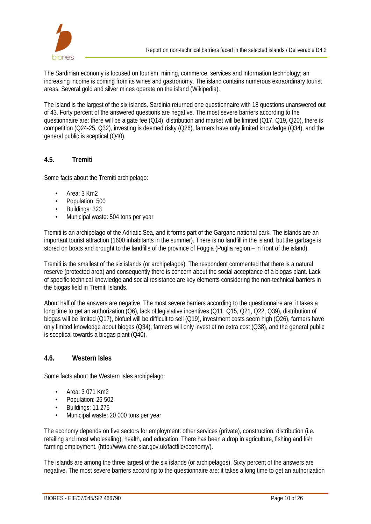

The Sardinian economy is focused on tourism, mining, commerce, services and information technology; an increasing income is coming from its wines and gastronomy. The island contains numerous extraordinary tourist areas. Several gold and silver mines operate on the island (Wikipedia).

The island is the largest of the six islands. Sardinia returned one questionnaire with 18 questions unanswered out of 43. Forty percent of the answered questions are negative. The most severe barriers according to the questionnaire are: there will be a gate fee (Q14), distribution and market will be limited (Q17, Q19, Q20), there is competition (Q24-25, Q32), investing is deemed risky (Q26), farmers have only limited knowledge (Q34), and the general public is sceptical (Q40).

## **4.5. Tremiti**

Some facts about the Tremiti archipelago:

- Area: 3 Km2
- Population: 500
- Buildings: 323
- Municipal waste: 504 tons per year

Tremiti is an archipelago of the Adriatic Sea, and it forms part of the Gargano national park. The islands are an important tourist attraction (1600 inhabitants in the summer). There is no landfill in the island, but the garbage is stored on boats and brought to the landfills of the province of Foggia (Puglia region – in front of the island).

Tremiti is the smallest of the six islands (or archipelagos). The respondent commented that there is a natural reserve (protected area) and consequently there is concern about the social acceptance of a biogas plant. Lack of specific technical knowledge and social resistance are key elements considering the non-technical barriers in the biogas field in Tremiti Islands.

About half of the answers are negative. The most severe barriers according to the questionnaire are: it takes a long time to get an authorization (Q6), lack of legislative incentives (Q11, Q15, Q21, Q22, Q39), distribution of biogas will be limited (Q17), biofuel will be difficult to sell (Q19), investment costs seem high (Q26), farmers have only limited knowledge about biogas (Q34), farmers will only invest at no extra cost (Q38), and the general public is sceptical towards a biogas plant (Q40).

#### **4.6. Western Isles**

Some facts about the Western Isles archipelago:

- Area: 3 071 Km2
- Population: 26 502
- Buildings: 11 275
- Municipal waste: 20 000 tons per year

The economy depends on five sectors for employment: other services (private), construction, distribution (i.e. retailing and most wholesaling), health, and education. There has been a drop in agriculture, fishing and fish farming employment. (http://www.cne-siar.gov.uk/factfile/economy/).

The islands are among the three largest of the six islands (or archipelagos). Sixty percent of the answers are negative. The most severe barriers according to the questionnaire are: it takes a long time to get an authorization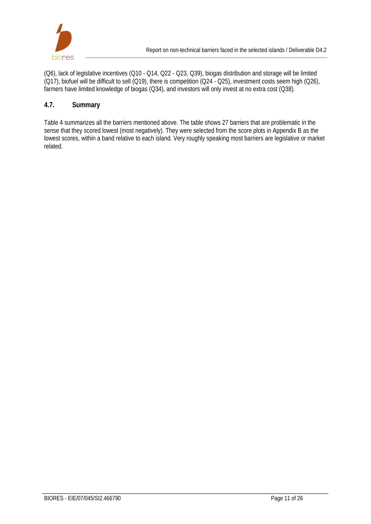

(Q6), lack of legislative incentives (Q10 - Q14, Q22 - Q23, Q39), biogas distribution and storage will be limited (Q17), biofuel will be difficult to sell (Q19), there is competition (Q24 - Q25), investment costs seem high (Q26), farmers have limited knowledge of biogas (Q34), and investors will only invest at no extra cost (Q38).

#### **4.7. Summary**

Table 4 summarizes all the barriers mentioned above. The table shows 27 barriers that are problematic in the sense that they scored lowest (most negatively). They were selected from the score plots in Appendix B as the lowest scores, within a band relative to each island. Very roughly speaking most barriers are legislative or market related.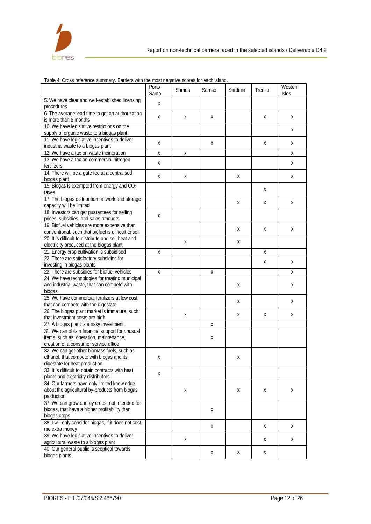

|                                                        | Porto<br>Santo | Samos | <b>Samso</b> | Sardinia | Tremiti | Western<br>Isles |
|--------------------------------------------------------|----------------|-------|--------------|----------|---------|------------------|
| 5. We have clear and well-established licensing        |                |       |              |          |         |                  |
| procedures                                             | X              |       |              |          |         |                  |
| 6. The average lead time to get an authorization       |                |       |              |          |         |                  |
| is more than 6 months                                  | X              | X     | X            |          | X       | X                |
| 10. We have legislative restrictions on the            |                |       |              |          |         |                  |
| supply of organic waste to a biogas plant              |                |       |              |          |         | Χ                |
| 11. We have legislative incentives to deliver          |                |       |              |          |         |                  |
| industrial waste to a biogas plant                     | X              |       | X            |          | X       | X                |
| 12. We have a tax on waste incineration                | X              | х     |              |          |         | Χ                |
| 13. We have a tax on commercial nitrogen               |                |       |              |          |         |                  |
| fertilizers                                            | X              |       |              |          |         | X                |
| 14. There will be a gate fee at a centralised          |                |       |              |          |         |                  |
| biogas plant                                           | Х              | Χ     |              | Χ        |         | Χ                |
| 15. Biogas is exempted from energy and CO <sub>2</sub> |                |       |              |          |         |                  |
| taxes                                                  |                |       |              |          | Х       |                  |
| 17. The biogas distribution network and storage        |                |       |              |          |         |                  |
| capacity will be limited                               |                |       |              | Χ        | Х       | X                |
| 18. Investors can get guarantees for selling           |                |       |              |          |         |                  |
| prices, subsidies, and sales amounts                   | X              |       |              |          |         |                  |
| 19. Biofuel vehicles are more expensive than           |                |       |              |          |         |                  |
| conventional, such that biofuel is difficult to sell   |                |       |              | X        | X       | X                |
| 20. It is difficult to distribute and sell heat and    |                |       |              |          |         |                  |
| electricity produced at the biogas plant               |                | X     |              | X        |         |                  |
| 21. Energy crop cultivation is subsidised              | X              |       |              |          | Х       |                  |
| 22. There are satisfactory subsidies for               |                |       |              |          |         |                  |
| investing in biogas plants                             |                |       |              |          | X       | X                |
| 23. There are subsidies for biofuel vehicles           | X              |       | Χ            |          |         | Х                |
| 24. We have technologies for treating municipal        |                |       |              |          |         |                  |
| and industrial waste, that can compete with            |                |       |              | X        |         | X                |
| biogas                                                 |                |       |              |          |         |                  |
| 25. We have commercial fertilizers at low cost         |                |       |              |          |         |                  |
| that can compete with the digestate                    |                |       |              | Χ        |         | Х                |
| 26. The biogas plant market is immature, such          |                |       |              |          |         |                  |
| that investment costs are high                         |                | X     |              | X        | X       | X                |
| 27. A biogas plant is a risky investment               |                |       | Χ            |          |         |                  |
| 31. We can obtain financial support for unusual        |                |       |              |          |         |                  |
| items, such as: operation, maintenance,                |                |       | Х            |          |         |                  |
| creation of a consumer service office                  |                |       |              |          |         |                  |
| 32. We can get other biomass fuels, such as            |                |       |              |          |         |                  |
| ethanol, that compete with biogas and its              | Χ              |       |              | Χ        |         |                  |
| digestate for heat production                          |                |       |              |          |         |                  |
| 33. It is difficult to obtain contracts with heat      | X              |       |              |          |         |                  |
| plants and electricity distributors                    |                |       |              |          |         |                  |
| 34. Our farmers have only limited knowledge            |                |       |              |          |         |                  |
| about the agricultural by-products from biogas         |                | Χ     |              | X        | X       | X                |
| production                                             |                |       |              |          |         |                  |
| 37. We can grow energy crops, not intended for         |                |       |              |          |         |                  |
| biogas, that have a higher profitability than          |                |       | Х            |          |         |                  |
| biogas crops                                           |                |       |              |          |         |                  |
| 38. I will only consider biogas, if it does not cost   |                |       | X            |          | X       | X                |
| me extra money                                         |                |       |              |          |         |                  |
| 39. We have legislative incentives to deliver          |                | Χ     |              |          | X       | Χ                |
| agricultural waste to a biogas plant                   |                |       |              |          |         |                  |
| 40. Our general public is sceptical towards            |                |       | X            | X        | X       |                  |
| biogas plants                                          |                |       |              |          |         |                  |

Table 4: Cross reference summary. Barriers with the most negative scores for each island.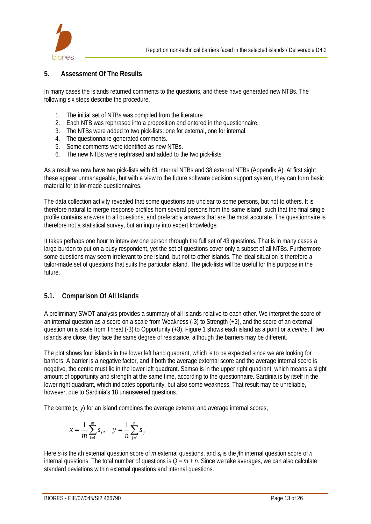

## **5. Assessment Of The Results**

In many cases the islands returned comments to the questions, and these have generated new NTBs. The following six steps describe the procedure.

- 1. The initial set of NTBs was compiled from the literature.
- 2. Each NTB was rephrased into a proposition and entered in the questionnaire.
- 3. The NTBs were added to two pick-lists: one for external, one for internal.
- 4. The questionnaire generated comments.
- 5. Some comments were identified as new NTBs.
- 6. The new NTBs were rephrased and added to the two pick-lists

As a result we now have two pick-lists with 81 internal NTBs and 38 external NTBs (Appendix A). At first sight these appear unmanageable, but with a view to the future software decision support system, they can form basic material for tailor-made questionnaires.

The data collection activity revealed that some questions are unclear to some persons, but not to others. It is therefore natural to merge response profiles from several persons from the same island, such that the final single profile contains answers to all questions, and preferably answers that are the most accurate. The questionnaire is therefore not a statistical survey, but an inquiry into expert knowledge.

It takes perhaps one hour to interview one person through the full set of 43 questions. That is in many cases a large burden to put on a busy respondent, yet the set of questions cover only a subset of all NTBs. Furthermore some questions may seem irrelevant to one island, but not to other islands. The ideal situation is therefore a tailor-made set of questions that suits the particular island. The pick-lists will be useful for this purpose in the future.

## **5.1. Comparison Of All Islands**

A preliminary SWOT analysis provides a summary of all islands relative to each other. We interpret the score of an internal question as a score on a scale from Weakness (-3) to Strength (+3), and the score of an external question on a scale from Threat (-3) to Opportunity (+3). Figure 1 shows each island as a point or a *centre*. If two islands are close, they face the same degree of resistance, although the barriers may be different.

The plot shows four islands in the lower left hand quadrant, which is to be expected since we are looking for barriers. A barrier is a negative factor, and if both the average external score and the average internal score is negative, the centre must lie in the lower left quadrant. Samso is in the upper right quadrant, which means a slight amount of opportunity and strength at the same time, according to the questionnaire. Sardinia is by itself in the lower right quadrant, which indicates opportunity, but also some weakness. That result may be unreliable, however, due to Sardinia's 18 unanswered questions.

The centre  $(x, y)$  for an island combines the average external and average internal scores,

$$
x = \frac{1}{m} \sum_{i=1}^{m} s_i, \quad y = \frac{1}{n} \sum_{j=1}^{n} s_j
$$

Here *si* is the *i*th external question score of *m* external questions, and *sj* is the *j*th internal question score of *n* internal questions. The total number of questions is *Q = m + n*. Since we take averages, we can also calculate standard deviations within external questions and internal questions.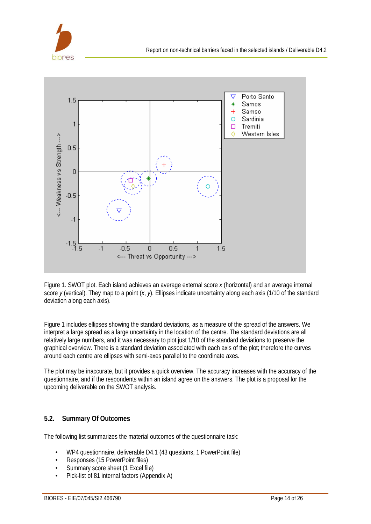



Figure 1. SWOT plot. Each island achieves an average external score *x* (horizontal) and an average internal score *y* (vertical). They map to a point (*x*, *y*). Ellipses indicate uncertainty along each axis (1/10 of the standard deviation along each axis).

Figure 1 includes ellipses showing the standard deviations, as a measure of the spread of the answers. We interpret a large spread as a large uncertainty in the location of the centre. The standard deviations are all relatively large numbers, and it was necessary to plot just 1/10 of the standard deviations to preserve the graphical overview. There is a standard deviation associated with each axis of the plot; therefore the curves around each centre are ellipses with semi-axes parallel to the coordinate axes.

The plot may be inaccurate, but it provides a quick overview. The accuracy increases with the accuracy of the questionnaire, and if the respondents within an island agree on the answers. The plot is a proposal for the upcoming deliverable on the SWOT analysis.

#### **5.2. Summary Of Outcomes**

The following list summarizes the material outcomes of the questionnaire task:

- WP4 questionnaire, deliverable D4.1 (43 questions, 1 PowerPoint file)
- Responses (15 PowerPoint files)
- Summary score sheet (1 Excel file)
- Pick-list of 81 internal factors (Appendix A)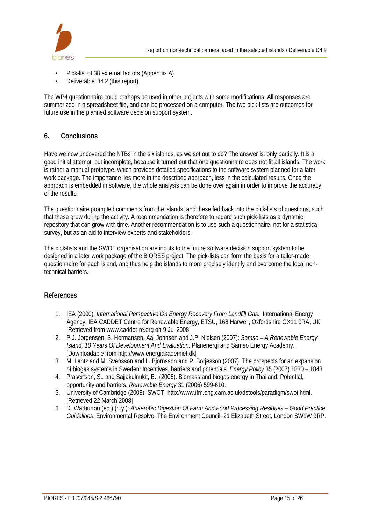

- Pick-list of 38 external factors (Appendix A)
- Deliverable D4.2 (this report)

The WP4 questionnaire could perhaps be used in other projects with some modifications. All responses are summarized in a spreadsheet file, and can be processed on a computer. The two pick-lists are outcomes for future use in the planned software decision support system.

## **6. Conclusions**

Have we now uncovered the NTBs in the six islands, as we set out to do? The answer is: only partially. It is a good initial attempt, but incomplete, because it turned out that one questionnaire does not fit all islands. The work is rather a manual prototype, which provides detailed specifications to the software system planned for a later work package. The importance lies more in the described approach, less in the calculated results. Once the approach is embedded in software, the whole analysis can be done over again in order to improve the accuracy of the results.

The questionnaire prompted comments from the islands, and these fed back into the pick-lists of questions, such that these grew during the activity. A recommendation is therefore to regard such pick-lists as a dynamic repository that can grow with time. Another recommendation is to use such a questionnaire, not for a statistical survey, but as an aid to interview experts and stakeholders.

The pick-lists and the SWOT organisation are inputs to the future software decision support system to be designed in a later work package of the BIORES project. The pick-lists can form the basis for a tailor-made questionnaire for each island, and thus help the islands to more precisely identify and overcome the local nontechnical barriers.

#### **References**

- 1. IEA (2000): *International Perspective On Energy Recovery From Landfill Gas*. International Energy Agency, IEA CADDET Centre for Renewable Energy, ETSU, 168 Harwell, Oxfordshire OX11 0RA, UK [Retrieved from www.caddet-re.org on 9 Jul 2008]
- 2. P.J. Jorgensen, S. Hermansen, Aa. Johnsen and J.P. Nielsen (2007): *Samso A Renewable Energy Island, 10 Years Of Development And Evaluation*. Planenergi and Samso Energy Academy. [Downloadable from http://www.energiakademiet.dk]
- 3. M. Lantz and M. Svensson and L. Björnsson and P. Börjesson (2007). The prospects for an expansion of biogas systems in Sweden: Incentives, barriers and potentials. *Energy Policy* 35 (2007) 1830 – 1843.
- 4. Prasertsan, S., and Sajjakulnukit, B., (2006). Biomass and biogas energy in Thailand: Potential, opportunity and barriers. *Renewable Energy* 31 (2006) 599-610.
- 5. University of Cambridge (2008): SWOT, http://www.ifm.eng.cam.ac.uk/dstools/paradigm/swot.html. [Retrieved 22 March 2008]
- 6. D. Warburton (ed.) (n.y.): *Anaerobic Digestion Of Farm And Food Processing Residues Good Practice Guidelines*. Environmental Resolve, The Environment Council, 21 Elizabeth Street, London SW1W 9RP.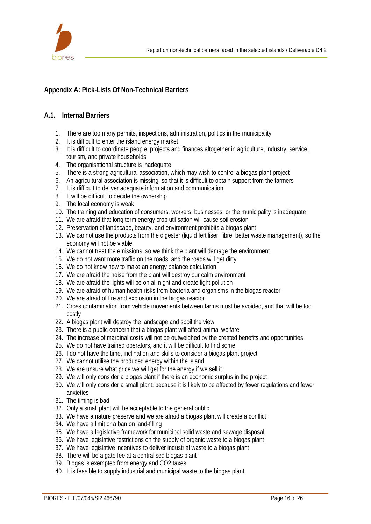

# **Appendix A: Pick-Lists Of Non-Technical Barriers**

#### **A.1. Internal Barriers**

- 1. There are too many permits, inspections, administration, politics in the municipality
- 2. It is difficult to enter the island energy market
- 3. It is difficult to coordinate people, projects and finances altogether in agriculture, industry, service, tourism, and private households
- 4. The organisational structure is inadequate
- 5. There is a strong agricultural association, which may wish to control a biogas plant project
- 6. An agricultural association is missing, so that it is difficult to obtain support from the farmers
- 7. It is difficult to deliver adequate information and communication
- 8. It will be difficult to decide the ownership
- 9. The local economy is weak
- 10. The training and education of consumers, workers, businesses, or the municipality is inadequate
- 11. We are afraid that long term energy crop utilisation will cause soil erosion
- 12. Preservation of landscape, beauty, and environment prohibits a biogas plant
- 13. We cannot use the products from the digester (liquid fertiliser, fibre, better waste management), so the economy will not be viable
- 14. We cannot treat the emissions, so we think the plant will damage the environment
- 15. We do not want more traffic on the roads, and the roads will get dirty
- 16. We do not know how to make an energy balance calculation
- 17. We are afraid the noise from the plant will destroy our calm environment
- 18. We are afraid the lights will be on all night and create light pollution
- 19. We are afraid of human health risks from bacteria and organisms in the biogas reactor
- 20. We are afraid of fire and explosion in the biogas reactor
- 21. Cross contamination from vehicle movements between farms must be avoided, and that will be too costly
- 22. A biogas plant will destroy the landscape and spoil the view
- 23. There is a public concern that a biogas plant will affect animal welfare
- 24. The increase of marginal costs will not be outweighed by the created benefits and opportunities
- 25. We do not have trained operators, and it will be difficult to find some
- 26. I do not have the time, inclination and skills to consider a biogas plant project
- 27. We cannot utilise the produced energy within the island
- 28. We are unsure what price we will get for the energy if we sell it
- 29. We will only consider a biogas plant if there is an economic surplus in the project
- 30. We will only consider a small plant, because it is likely to be affected by fewer regulations and fewer anxieties
- 31. The timing is bad
- 32. Only a small plant will be acceptable to the general public
- 33. We have a nature preserve and we are afraid a biogas plant will create a conflict
- 34. We have a limit or a ban on land-filling
- 35. We have a legislative framework for municipal solid waste and sewage disposal
- 36. We have legislative restrictions on the supply of organic waste to a biogas plant
- 37. We have legislative incentives to deliver industrial waste to a biogas plant
- 38. There will be a gate fee at a centralised biogas plant
- 39. Biogas is exempted from energy and CO2 taxes
- 40. It is feasible to supply industrial and municipal waste to the biogas plant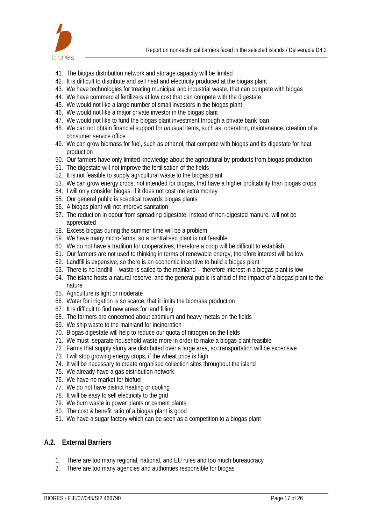

- 41. The biogas distribution network and storage capacity will be limited
- 42. It is difficult to distribute and sell heat and electricity produced at the biogas plant
- 43. We have technologies for treating municipal and industrial waste, that can compete with biogas
- 44. We have commercial fertilizers at low cost that can compete with the digestate
- 45. We would not like a large number of small investors in the biogas plant
- 46. We would not like a major private investor in the biogas plant
- 47. We would not like to fund the biogas plant investment through a private bank loan
- 48. We can not obtain financial support for *un*usual items, such as: operation, maintenance, creation of a consumer service office
- 49. We can grow biomass for fuel, such as ethanol, that compete with biogas and its digestate for heat production
- 50. Our farmers have only limited knowledge about the agricultural by-products from biogas production
- 51. The digestate will not improve the fertilisation of the fields
- 52. It is not feasible to supply agricultural waste to the biogas plant
- 53. We can grow energy crops, not intended for biogas, that have a higher profitability than biogas crops
- 54. I will only consider biogas, if it does not cost me extra money
- 55. Our general public is sceptical towards biogas plants
- 56. A biogas plant will not improve sanitation
- 57. The reduction in odour from spreading digestate, instead of non-digested manure, will not be appreciated
- 58. Excess biogas during the summer time will be a problem
- 59. We have many micro-farms, so a centralised plant is not feasible
- 60. We do not have a tradition for cooperatives, therefore a coop will be difficult to establish
- 61. Our farmers are not used to thinking in terms of renewable energy, therefore interest will be low
- 62. Landfill is expensive, so there is an economic incentive to build a biogas plant
- 63. There is no landfill -- waste is sailed to the mainland -- therefore interest in a biogas plant is low
- 64. The island hosts a natural reserve, and the general public is afraid of the impact of a biogas plant to the nature
- 65. Agriculture is light or moderate
- 66. Water for irrigation is so scarce, that it limits the biomass production
- 67. It is difficult to find new areas for land filling
- 68. The farmers are concerned about cadmium and heavy metals on the fields
- 69. We ship waste to the mainland for incineration
- 70. Biogas digestate will help to reduce our quota of nitrogen on the fields
- 71. We must separate household waste more in order to make a biogas plant feasible
- 72. Farms that supply slurry are distributed over a large area, so transportation will be expensive
- 73. I will stop growing energy crops, if the wheat price is high
- 74. It will be necessary to create organised collection sites throughout the island
- 75. We already have a gas distribution network
- 76. We have no market for biofuel
- 77. We do not have district heating or cooling
- 78. It will be easy to sell electricity to the grid
- 79. We burn waste in power plants or cement plants
- 80. The cost & benefit ratio of a biogas plant is good
- 81. We have a sugar factory which can be seen as a competition to a biogas plant

#### **A.2. External Barriers**

- 1. There are too many regional, national, and EU rules and too much bureaucracy
- 2. There are too many agencies and authorities responsible for biogas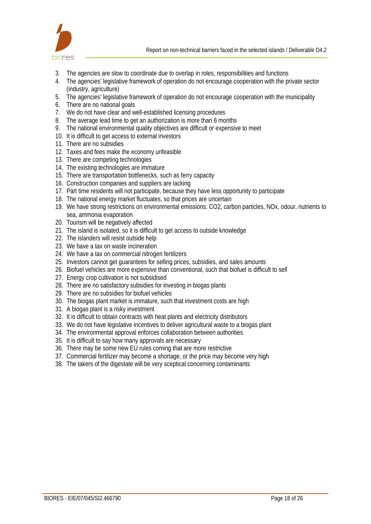

- 3. The agencies are slow to coordinate due to overlap in roles, responsibilities and functions
- 4. The agencies' legislative framework of operation do not encourage cooperation with the private sector (industry, agriculture)
- 5. The agencies' legislative framework of operation do not encourage cooperation with the municipality
- 6. There are no national goals
- 7. We do not have clear and well-established licensing procedures
- 8. The average lead time to get an authorization is more than 6 months
- 9. The national environmental quality objectives are difficult or expensive to meet
- 10. It is difficult to get access to external investors
- 11. There are no subsidies
- 12. Taxes and fees make the economy unfeasible
- 13. There are competing technologies
- 14. The existing technologies are immature
- 15. There are transportation bottlenecks, such as ferry capacity
- 16. Construction companies and suppliers are lacking
- 17. Part time residents will not participate, because they have less opportunity to participate
- 18. The national energy market fluctuates, so that prices are uncertain
- 19. We have strong restrictions on environmental emissions: CO2, carbon particles, NOx, odour, nutrients to sea, ammonia evaporation
- 20. Tourism will be negatively affected
- 21. The island is isolated, so it is difficult to get access to outside knowledge
- 22. The islanders will resist outside help
- 23. We have a tax on waste incineration
- 24. We have a tax on commercial nitrogen fertilizers
- 25. Investors cannot get guarantees for selling prices, subsidies, and sales amounts
- 26. Biofuel vehicles are more expensive than conventional, such that biofuel is difficult to sell
- 27. Energy crop cultivation is not subsidised
- 28. There are no satisfactory subsidies for investing in biogas plants
- 29. There are no subsidies for biofuel vehicles
- 30. The biogas plant market is immature, such that investment costs are high
- 31. A biogas plant is a risky investment
- 32. It is difficult to obtain contracts with heat plants and electricity distributors
- 33. We do not have legislative incentives to deliver agricultural waste to a biogas plant
- 34. The environmental approval enforces collaboration between authorities
- 35. It is difficult to say how many approvals are necessary
- 36. There may be some new EU rules coming that are more restrictive
- 37. Commercial fertilizer may become a shortage, or the price may become very high
- 38. The takers of the digestate will be very sceptical concerning contaminants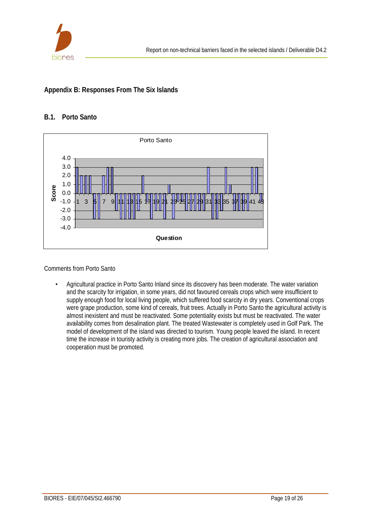

# **Appendix B: Responses From The Six Islands**

## **B.1. Porto Santo**



Comments from Porto Santo

• Agricultural practice in Porto Santo Inland since its discovery has been moderate. The water variation and the scarcity for irrigation, in some years, did not favoured cereals crops which were insufficient to supply enough food for local living people, which suffered food scarcity in dry years. Conventional crops were grape production, some kind of cereals, fruit trees. Actually in Porto Santo the agricultural activity is almost inexistent and must be reactivated. Some potentiality exists but must be reactivated. The water availability comes from desalination plant. The treated Wastewater is completely used in Golf Park. The model of development of the island was directed to tourism. Young people leaved the island. In recent time the increase in touristy activity is creating more jobs. The creation of agricultural association and cooperation must be promoted.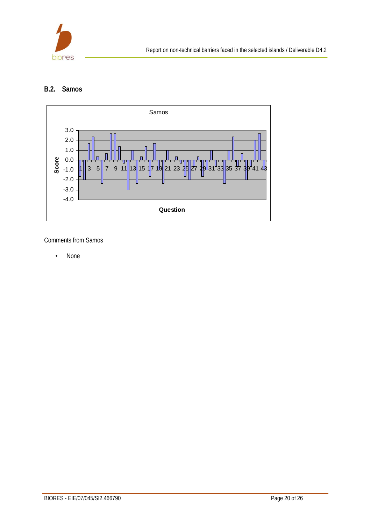

## **B.2. Samos**



Comments from Samos

• None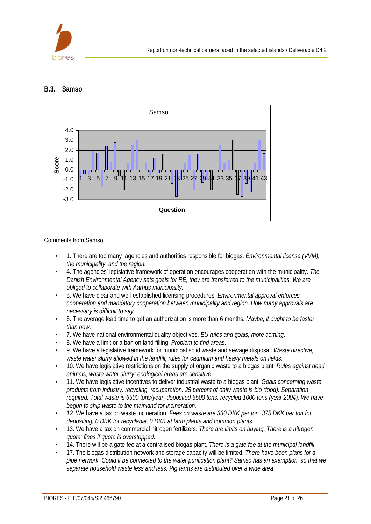

## **B.3. Samso**



Comments from Samso

- 1. There are too many agencies and authorities responsible for biogas. *Environmental license (VVM), the municipality, and the region.*
- 4. The agencies' legislative framework of operation encourages cooperation with the municipality. *The Danish Environmental Agency sets goals for RE, they are transferred to the municipalities. We are obliged to collaborate with Aarhus municipality.*
- 5. We have clear and well-established licensing procedures. *Environmental approval enforces cooperation and mandatory cooperation between municipality and region. How many approvals are necessary is difficult to say.*
- 6. The average lead time to get an authorization is more than 6 months. *Maybe, it ought to be faster than now*.
- 7. We have national environmental quality objectives. *EU rules and goals; more coming*.
- 8. We have a limit or a ban on land-filling. *Problem to find areas*.
- 9. We have a legislative framework for municipal solid waste and sewage disposal. *Waste directive; waste water slurry allowed in the landfill; rules for cadmium and heavy metals on fields*.
- 10. We have legislative restrictions on the supply of organic waste to a biogas plant. *Rules against dead animals, waste water slurry; ecological areas are sensitive*.
- 11. We have legislative incentives to deliver industrial waste to a biogas plant. *Goals concerning waste products from industry: recycling, recuperation. 25 percent of daily waste is bio (food). Separation required. Total waste is 6500 tons/year, deposited 5500 tons, recycled 1000 tons (year 2004). We have begun to ship waste to the mainland for incineration.*
- *12.* We have a tax on waste incineration. *Fees on waste are 330 DKK per ton, 375 DKK per ton for depositing, 0 DKK for recyclable, 0 DKK at farm plants and common plants*.
- 13. We have a tax on commercial nitrogen fertilizers. *There are limits on buying. There is a nitrogen quota: fines if quota is overstepped*.
- 14. There will be a gate fee at a centralised biogas plant. *There is a gate fee at the municipal landfill*.
- 17. The biogas distribution network and storage capacity will be limited. *There have been plans for a pipe network. Could it be connected to the water purification plant? Samso has an exemption, so that we separate household waste less and less. Pig farms are distributed over a wide area*.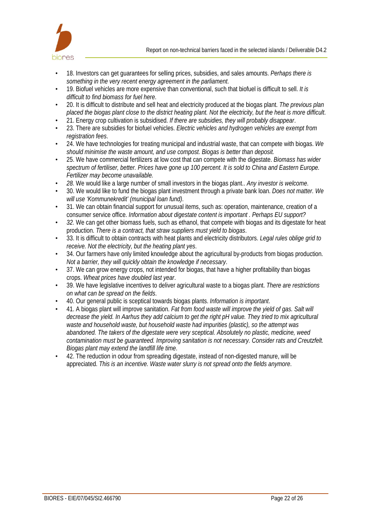

- 18. Investors can get guarantees for selling prices, subsidies, and sales amounts. *Perhaps there is something in the very recent energy agreement in the parliament*.
- 19. Biofuel vehicles are more expensive than conventional, such that biofuel is difficult to sell. *It is difficult to find biomass for fuel here*.
- 20. It is difficult to distribute and sell heat and electricity produced at the biogas plant. *The previous plan placed the biogas plant close to the district heating plant. Not the electricity, but the heat is more difficult*.
- 21. Energy crop cultivation is subsidised. *If there are subsidies, they will probably disappear*.
- 23. There are subsidies for biofuel vehicles. *Electric vehicles and hydrogen vehicles are exempt from registration fees*.
- 24. We have technologies for treating municipal and industrial waste, that can compete with biogas. *We should minimise the waste amount, and use compost. Biogas is better than deposit.*
- 25. We have commercial fertilizers at low cost that can compete with the digestate. *Biomass has wider spectrum of fertiliser, better. Prices have gone up 100 percent. It is sold to China and Eastern Europe. Fertilizer may become unavailable.*
- *28.* We would like a large number of small investors in the biogas plant.. *Any investor is welcome*.
- 30. We would like to fund the biogas plant investment through a private bank loan. *Does not matter. We will use 'Kommunekredit' (municipal loan fund)*.
- 31. We can obtain financial support for *un*usual items, such as: operation, maintenance, creation of a consumer service office. *Information about digestate content is important . Perhaps EU support?*
- *32.* We can get other biomass fuels, such as ethanol, that compete with biogas and its digestate for heat production. *There is a contract, that straw suppliers must yield to biogas*.
- 33. It is difficult to obtain contracts with heat plants and electricity distributors. *Legal rules oblige grid to receive. Not the electricity, but the heating plant yes*.
- 34. Our farmers have only limited knowledge about the agricultural by-products from biogas production. *Not a barrier, they will quickly obtain the knowledge if necessary*.
- 37. We can grow energy crops, not intended for biogas, that have a higher profitability than biogas crops. *Wheat prices have doubled last year*.
- 39. We have legislative incentives to deliver agricultural waste to a biogas plant. *There are restrictions on what can be spread on the fields*.
- 40. Our general public is sceptical towards biogas plants. *Information is important*.
- 41. A biogas plant will improve sanitation. *Fat from food waste will improve the yield of gas. Salt will decrease the yield. In Aarhus they add calcium to get the right pH value. They tried to mix agricultural waste and household waste, but household waste had impurities (plastic), so the attempt was abandoned. The takers of the digestate were very sceptical. Absolutely no plastic, medicine, weed contamination must be guaranteed. Improving sanitation is not necessary. Consider rats and Creutzfelt. Biogas plant may extend the landfill life time*.
- 42. The reduction in odour from spreading digestate, instead of non-digested manure, will be appreciated. *This is an incentive. Waste water slurry is not spread onto the fields anymore*.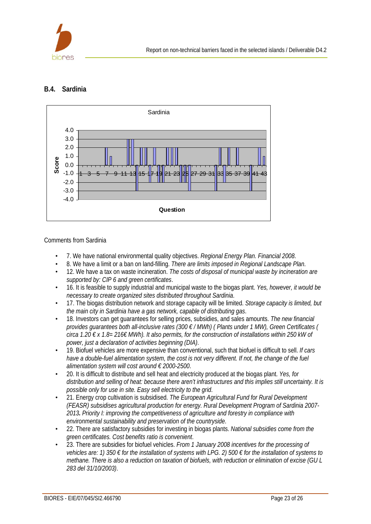

## **B.4. Sardinia**



Comments from Sardinia

- 7. We have national environmental quality objectives. *Regional Energy Plan. Financial 2008*.
- 8. We have a limit or a ban on land-filling. *There are limits imposed in Regional Landscape Plan*.
- 12. We have a tax on waste incineration. *The costs of disposal of municipal waste by incineration are supported by: CIP 6 and green certificates*.
- 16. It is feasible to supply industrial and municipal waste to the biogas plant. *Yes, however, it would be necessary to create organized sites distributed throughout Sardinia*.
- 17. The biogas distribution network and storage capacity will be limited. *Storage capacity is limited, but the main city in Sardinia have a gas network, capable of distributing gas*.
- 18. Investors can get guarantees for selling prices, subsidies, and sales amounts. *The new financial provides guarantees both all-inclusive rates (300 € / MWh) ( Plants under 1 MW), Green Certificates ( circa 1.20 € x 1.8= 216€ MWh). It also permits, for the construction of installations within 250 kW of power, just a declaration of activities beginning (DIA)*.
- 19. Biofuel vehicles are more expensive than conventional, such that biofuel is difficult to sell. *If cars have a double-fuel alimentation system, the cost is not very different. If not, the change of the fuel alimentation system will cost around € 2000-2500*.
- 20. It is difficult to distribute and sell heat and electricity produced at the biogas plant. *Yes, for distribution and selling of heat: because there aren't infrastructures and this implies still uncertainty. It is possible only for use in site. Easy sell electricity to the grid*.
- 21. Energy crop cultivation is subsidised. *The European Agricultural Fund for Rural Development (FEASR) subsidises agricultural production for energy. Rural Development Program of Sardinia 2007- 2013. Priority I: improving the competitiveness of agriculture and forestry in compliance with environmental sustainability and preservation of the countryside*.
- 22. There are satisfactory subsidies for investing in biogas plants. *National subsidies come from the green certificates. Cost benefits ratio is convenient*.
- 23. There are subsidies for biofuel vehicles. *From 1 January 2008 incentives for the processing of vehicles are: 1) 350 € for the installation of systems with LPG. 2) 500 € for the installation of systems to methane. There is also a reduction on taxation of biofuels, with reduction or elimination of excise (GU L 283 del 31/10/2003)*.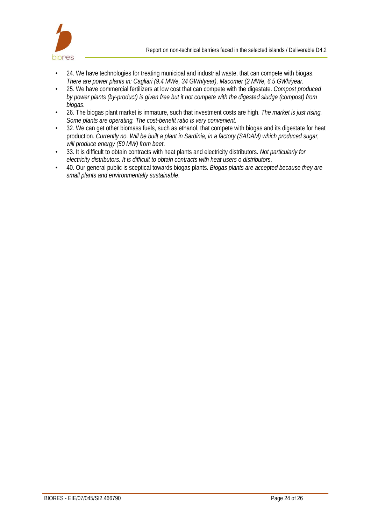

- 24. We have technologies for treating municipal and industrial waste, that can compete with biogas. *There are power plants in: Cagliari (9.4 MWe, 34 GWh/year), Macomer (2 MWe, 6.5 GWh/year*.
- 25. We have commercial fertilizers at low cost that can compete with the digestate. *Compost produced by power plants (by-product) is given free but it not compete with the digested sludge (compost) from biogas*.
- 26. The biogas plant market is immature, such that investment costs are high. *The market is just rising. Some plants are operating. The cost-benefit ratio is very convenient*.
- 32. We can get other biomass fuels, such as ethanol, that compete with biogas and its digestate for heat production. *Currently no. Will be built a plant in Sardinia, in a factory (SADAM) which produced sugar, will produce energy (50 MW) from beet*.
- 33. It is difficult to obtain contracts with heat plants and electricity distributors. *Not particularly for electricity distributors. It is difficult to obtain contracts with heat users o distributors*.
- 40. Our general public is sceptical towards biogas plants. *Biogas plants are accepted because they are small plants and environmentally sustainable*.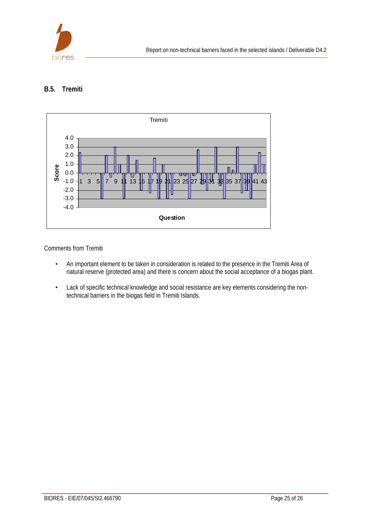

## **B.5. Tremiti**



Comments from Tremiti

- An important element to be taken in consideration is related to the presence in the Tremiti Area of natural reserve (protected area) and there is concern about the social acceptance of a biogas plant.
- Lack of specific technical knowledge and social resistance are key elements considering the nontechnical barriers in the biogas field in Tremiti Islands.